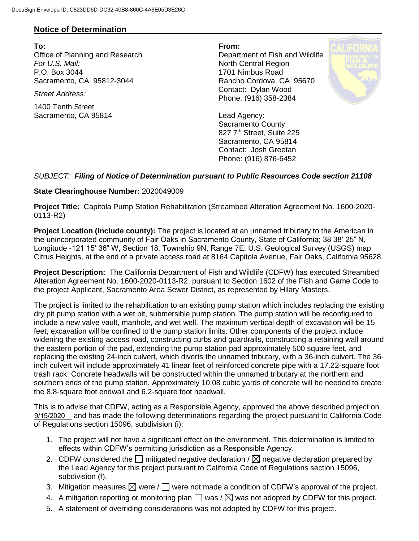## **Notice of Determination**

**To: From:**  Office of Planning and Research Department of Fish and Wildlife **For U.S. Mail:** North Central Region P.O. Box 3044 1701 Nimbus Road Sacramento, CA 95812-3044 Rancho Cordova, CA 95670

1400 Tenth Street Sacramento, CA 95814 Lead Agency:

*Street Address:* Contact: Dylan Wood Phone: (916) 358-2384



Sacramento County 827 7<sup>th</sup> Street, Suite 225 Sacramento, CA 95814 Contact: Josh Greetan Phone: (916) 876-6452

## *SUBJECT: Filing of Notice of Determination pursuant to Public Resources Code section 21108*

## **State Clearinghouse Number:** 2020049009

**Project Title:** Capitola Pump Station Rehabilitation (Streambed Alteration Agreement No. 1600-2020- 0113-R2)

**Project Location (include county):** The project is located at an unnamed tributary to the American in the unincorporated community of Fair Oaks in Sacramento County, State of California; 38 38' 25" N, Longitude -121 15' 36" W, Section 18, Township 9N, Range 7E, U.S. Geological Survey (USGS) map Citrus Heights, at the end of a private access road at 8164 Capitola Avenue, Fair Oaks, California 95628.

**Project Description:** The California Department of Fish and Wildlife (CDFW) has executed Streambed Alteration Agreement No. 1600-2020-0113-R2, pursuant to Section 1602 of the Fish and Game Code to the project Applicant, Sacramento Area Sewer District, as represented by Hilary Masters.

The project is limited to the rehabilitation to an existing pump station which includes replacing the existing dry pit pump station with a wet pit, submersible pump station. The pump station will be reconfigured to include a new valve vault, manhole, and wet well. The maximum vertical depth of excavation will be 15 feet; excavation will be confined to the pump station limits. Other components of the project include widening the existing access road, constructing curbs and guardrails, constructing a retaining wall around the eastern portion of the pad, extending the pump station pad approximately 500 square feet, and replacing the existing 24-inch culvert, which diverts the unnamed tributary, with a 36-inch culvert. The 36 inch culvert will include approximately 41 linear feet of reinforced concrete pipe with a 17.22-square foot trash rack. Concrete headwalls will be constructed within the unnamed tributary at the northern and southern ends of the pump station. Approximately 10.08 cubic yards of concrete will be needed to create the 8.8-square foot endwall and 6.2-square foot headwall.

This is to advise that CDFW, acting as a Responsible Agency, approved the above described project on 9/15/2020 and has made the following determinations regarding the project pursuant to California Code of Regulations section 15096, subdivision (i):

- 1. The project will not have a significant effect on the environment. This determination is limited to effects within CDFW's permitting jurisdiction as a Responsible Agency.
- 2. CDFW considered the  $\Box$  mitigated negative declaration /  $\boxtimes$  negative declaration prepared by the Lead Agency for this project pursuant to California Code of Regulations section 15096, subdivision (f).
- 3. Mitigation measures  $\boxtimes$  were /  $\Box$  were not made a condition of CDFW's approval of the project.
- 4. A mitigation reporting or monitoring plan  $\Box$  was /  $\boxtimes$  was not adopted by CDFW for this project.
- 5. A statement of overriding considerations was not adopted by CDFW for this project.